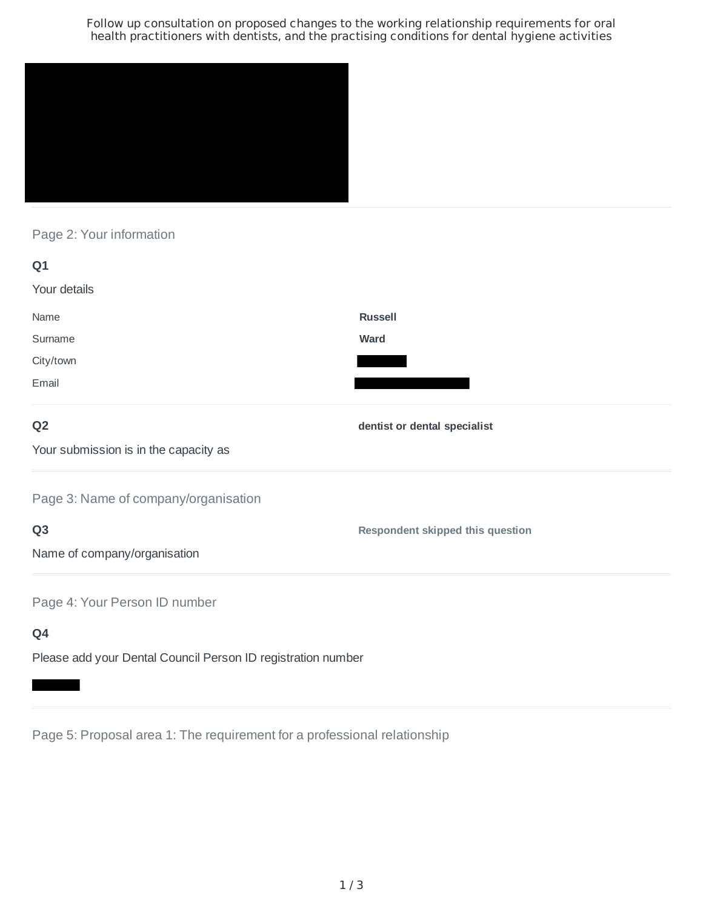Follow up consultation on proposed changes to the working relationship requirements for oral health practitioners with dentists, and the practising conditions for dental hygiene activities



Page 2: Your information

| Q1                                    |                                         |
|---------------------------------------|-----------------------------------------|
| Your details                          |                                         |
| Name                                  | <b>Russell</b>                          |
| Surname                               | <b>Ward</b>                             |
| City/town                             |                                         |
| Email                                 |                                         |
| Q <sub>2</sub>                        | dentist or dental specialist            |
| Your submission is in the capacity as |                                         |
| Page 3: Name of company/organisation  |                                         |
| Q <sub>3</sub>                        | <b>Respondent skipped this question</b> |
| Name of company/organisation          |                                         |
| Page 4: Your Person ID number         |                                         |
| Q4                                    |                                         |

Please add your Dental Council Person ID registration number

Page 5: Proposal area 1: The requirement for a professional relationship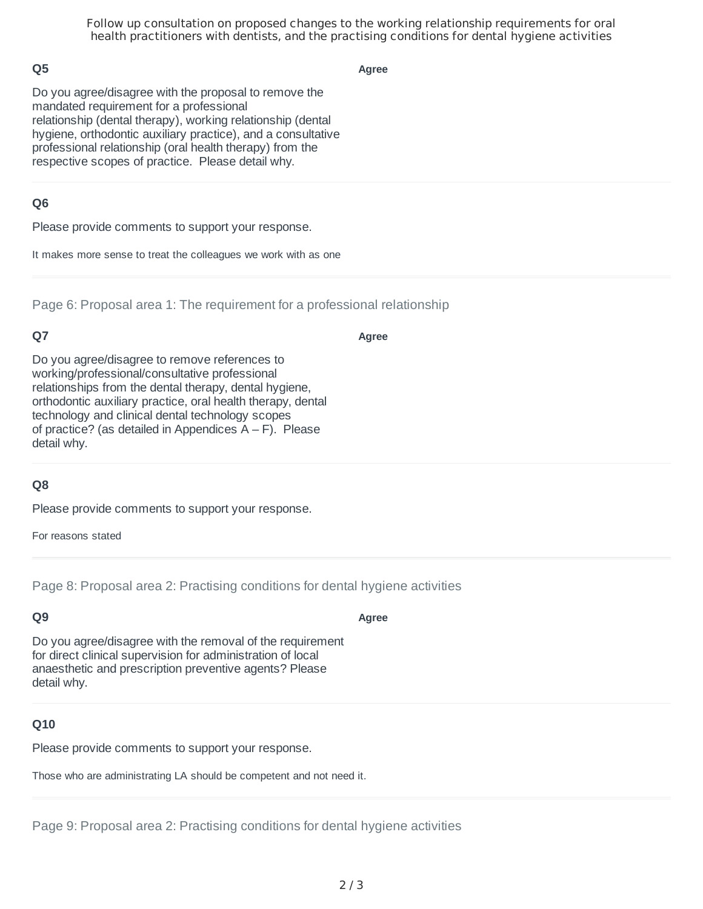Follow up consultation on proposed changes to the working relationship requirements for oral health practitioners with dentists, and the practising conditions for dental hygiene activities

### **Q5**

**Agree**

Do you agree/disagree with the proposal to remove the mandated requirement for a professional relationship (dental therapy), working relationship (dental hygiene, orthodontic auxiliary practice), and a consultative professional relationship (oral health therapy) from the respective scopes of practice. Please detail why.

### **Q6**

Please provide comments to support your response.

It makes more sense to treat the colleagues we work with as one

Page 6: Proposal area 1: The requirement for a professional relationship

# **Q7**

**Agree**

Do you agree/disagree to remove references to working/professional/consultative professional relationships from the dental therapy, dental hygiene, orthodontic auxiliary practice, oral health therapy, dental technology and clinical dental technology scopes of practice? (as detailed in Appendices  $A - F$ ). Please detail why.

# **Q8**

Please provide comments to support your response.

For reasons stated

Page 8: Proposal area 2: Practising conditions for dental hygiene activities

#### **Q9**

**Agree**

Do you agree/disagree with the removal of the requirement for direct clinical supervision for administration of local anaesthetic and prescription preventive agents? Please detail why.

#### **Q10**

Please provide comments to support your response.

Those who are administrating LA should be competent and not need it.

Page 9: Proposal area 2: Practising conditions for dental hygiene activities